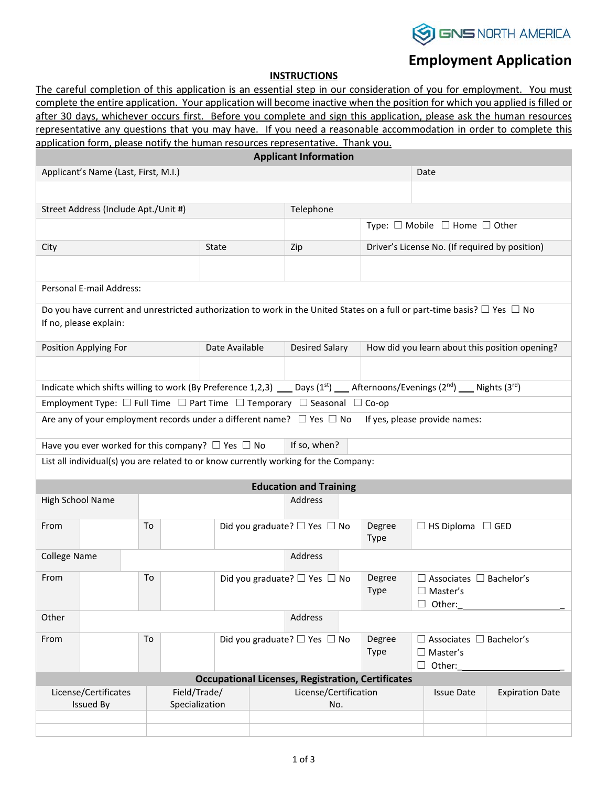

## **Employment Application**

## **INSTRUCTIONS**

The careful completion of this application is an essential step in our consideration of you for employment. You must complete the entire application. Your application will become inactive when the position for which you applied is filled or after 30 days, whichever occurs first. Before you complete and sign this application, please ask the human resources representative any questions that you may have. If you need a reasonable accommodation in order to complete this

| application form, please notify the human resources representative. Thank you. |                                                                                                                                                               |                                |                |                                        |                       |                                                |                                                                                           |                                                |                                                                                                                                    |  |  |
|--------------------------------------------------------------------------------|---------------------------------------------------------------------------------------------------------------------------------------------------------------|--------------------------------|----------------|----------------------------------------|-----------------------|------------------------------------------------|-------------------------------------------------------------------------------------------|------------------------------------------------|------------------------------------------------------------------------------------------------------------------------------------|--|--|
| <b>Applicant Information</b>                                                   |                                                                                                                                                               |                                |                |                                        |                       |                                                |                                                                                           |                                                |                                                                                                                                    |  |  |
|                                                                                | Applicant's Name (Last, First, M.I.)                                                                                                                          |                                |                |                                        |                       | Date                                           |                                                                                           |                                                |                                                                                                                                    |  |  |
|                                                                                |                                                                                                                                                               |                                |                |                                        |                       |                                                |                                                                                           |                                                |                                                                                                                                    |  |  |
| Street Address (Include Apt./Unit #)                                           |                                                                                                                                                               |                                |                |                                        |                       |                                                |                                                                                           |                                                |                                                                                                                                    |  |  |
|                                                                                |                                                                                                                                                               |                                |                |                                        |                       | Telephone                                      |                                                                                           |                                                |                                                                                                                                    |  |  |
|                                                                                |                                                                                                                                                               |                                |                |                                        |                       |                                                |                                                                                           |                                                | Type: $\Box$ Mobile $\Box$ Home $\Box$ Other                                                                                       |  |  |
| City                                                                           |                                                                                                                                                               |                                |                | <b>State</b>                           |                       | Zip                                            |                                                                                           | Driver's License No. (If required by position) |                                                                                                                                    |  |  |
|                                                                                |                                                                                                                                                               |                                |                |                                        |                       |                                                |                                                                                           |                                                |                                                                                                                                    |  |  |
| Personal E-mail Address:                                                       |                                                                                                                                                               |                                |                |                                        |                       |                                                |                                                                                           |                                                |                                                                                                                                    |  |  |
|                                                                                |                                                                                                                                                               |                                |                |                                        |                       |                                                |                                                                                           |                                                | Do you have current and unrestricted authorization to work in the United States on a full or part-time basis? $\Box$ Yes $\Box$ No |  |  |
|                                                                                | If no, please explain:                                                                                                                                        |                                |                |                                        |                       |                                                |                                                                                           |                                                |                                                                                                                                    |  |  |
| Position Applying For                                                          |                                                                                                                                                               |                                | Date Available |                                        | <b>Desired Salary</b> | How did you learn about this position opening? |                                                                                           |                                                |                                                                                                                                    |  |  |
|                                                                                |                                                                                                                                                               |                                |                |                                        |                       |                                                |                                                                                           |                                                |                                                                                                                                    |  |  |
|                                                                                | Indicate which shifts willing to work (By Preference 1,2,3) __ Days (1 <sup>st</sup> ) __ Afternoons/Evenings (2 <sup>nd</sup> ) __ Nights (3 <sup>rd</sup> ) |                                |                |                                        |                       |                                                |                                                                                           |                                                |                                                                                                                                    |  |  |
|                                                                                | Employment Type: $\Box$ Full Time $\Box$ Part Time $\Box$ Temporary $\Box$ Seasonal $\Box$ Co-op                                                              |                                |                |                                        |                       |                                                |                                                                                           |                                                |                                                                                                                                    |  |  |
|                                                                                | Are any of your employment records under a different name? $\Box$ Yes $\Box$ No                                                                               |                                |                |                                        |                       |                                                |                                                                                           |                                                | If yes, please provide names:                                                                                                      |  |  |
|                                                                                | Have you ever worked for this company? $\Box$ Yes $\Box$ No                                                                                                   |                                |                |                                        |                       | If so, when?                                   |                                                                                           |                                                |                                                                                                                                    |  |  |
|                                                                                | List all individual(s) you are related to or know currently working for the Company:                                                                          |                                |                |                                        |                       |                                                |                                                                                           |                                                |                                                                                                                                    |  |  |
|                                                                                |                                                                                                                                                               |                                |                |                                        |                       | <b>Education and Training</b>                  |                                                                                           |                                                |                                                                                                                                    |  |  |
| High School Name                                                               |                                                                                                                                                               |                                |                |                                        |                       | Address                                        |                                                                                           |                                                |                                                                                                                                    |  |  |
|                                                                                |                                                                                                                                                               |                                |                |                                        |                       |                                                |                                                                                           |                                                |                                                                                                                                    |  |  |
| From                                                                           |                                                                                                                                                               | To                             |                |                                        |                       | Did you graduate? □ Yes □ No                   |                                                                                           | Degree<br><b>Type</b>                          | $\Box$ HS Diploma $\Box$ GED                                                                                                       |  |  |
| <b>College Name</b><br>Address                                                 |                                                                                                                                                               |                                |                |                                        |                       |                                                |                                                                                           |                                                |                                                                                                                                    |  |  |
| From                                                                           | To                                                                                                                                                            |                                |                | Did you graduate? $\Box$ Yes $\Box$ No |                       | Degree<br><b>Type</b>                          | $\Box$ Associates $\Box$ Bachelor's<br>$\Box$ Master's<br>Other:                          |                                                |                                                                                                                                    |  |  |
| Other                                                                          |                                                                                                                                                               |                                |                |                                        | Address               |                                                |                                                                                           |                                                |                                                                                                                                    |  |  |
| From                                                                           | Did you graduate? □ Yes □ No<br>To                                                                                                                            |                                |                |                                        |                       |                                                | Degree<br>$\Box$ Associates $\Box$ Bachelor's<br>Type<br>$\Box$ Master's<br>$\Box$ Other: |                                                |                                                                                                                                    |  |  |
| <b>Occupational Licenses, Registration, Certificates</b>                       |                                                                                                                                                               |                                |                |                                        |                       |                                                |                                                                                           |                                                |                                                                                                                                    |  |  |
| License/Certificates<br><b>Issued By</b>                                       |                                                                                                                                                               | Field/Trade/<br>Specialization |                |                                        |                       | License/Certification<br>No.                   |                                                                                           | <b>Issue Date</b>                              | <b>Expiration Date</b>                                                                                                             |  |  |
|                                                                                |                                                                                                                                                               |                                |                |                                        |                       |                                                |                                                                                           |                                                |                                                                                                                                    |  |  |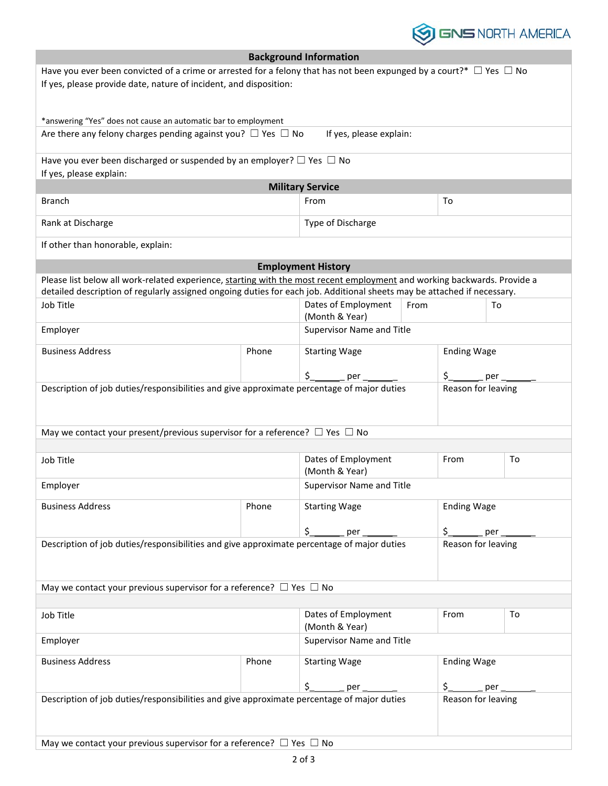

|                                                                                                                               |                           | <b>Background Information</b>         |                                 |                    |    |  |
|-------------------------------------------------------------------------------------------------------------------------------|---------------------------|---------------------------------------|---------------------------------|--------------------|----|--|
| Have you ever been convicted of a crime or arrested for a felony that has not been expunged by a court?* $\Box$ Yes $\Box$ No |                           |                                       |                                 |                    |    |  |
| If yes, please provide date, nature of incident, and disposition:                                                             |                           |                                       |                                 |                    |    |  |
|                                                                                                                               |                           |                                       |                                 |                    |    |  |
| *answering "Yes" does not cause an automatic bar to employment                                                                |                           |                                       |                                 |                    |    |  |
| Are there any felony charges pending against you? $\Box$ Yes $\Box$ No                                                        |                           | If yes, please explain:               |                                 |                    |    |  |
| Have you ever been discharged or suspended by an employer? $\Box$ Yes $\Box$ No                                               |                           |                                       |                                 |                    |    |  |
| If yes, please explain:                                                                                                       |                           |                                       |                                 |                    |    |  |
| <b>Military Service</b>                                                                                                       |                           |                                       |                                 |                    |    |  |
| <b>Branch</b>                                                                                                                 |                           | From                                  |                                 | To                 |    |  |
| Rank at Discharge                                                                                                             |                           | Type of Discharge                     |                                 |                    |    |  |
| If other than honorable, explain:                                                                                             |                           |                                       |                                 |                    |    |  |
|                                                                                                                               |                           | <b>Employment History</b>             |                                 |                    |    |  |
| Please list below all work-related experience, starting with the most recent employment and working backwards. Provide a      |                           |                                       |                                 |                    |    |  |
| detailed description of regularly assigned ongoing duties for each job. Additional sheets may be attached if necessary.       |                           |                                       |                                 |                    |    |  |
| Job Title                                                                                                                     |                           | Dates of Employment<br>(Month & Year) | From                            |                    | To |  |
| Employer                                                                                                                      |                           |                                       | Supervisor Name and Title       |                    |    |  |
| <b>Business Address</b>                                                                                                       | Phone                     | <b>Starting Wage</b>                  |                                 | <b>Ending Wage</b> |    |  |
|                                                                                                                               |                           |                                       |                                 |                    |    |  |
| Description of job duties/responsibilities and give approximate percentage of major duties                                    |                           | \$<br>per                             | \$<br>per<br>Reason for leaving |                    |    |  |
|                                                                                                                               |                           |                                       |                                 |                    |    |  |
|                                                                                                                               |                           |                                       |                                 |                    |    |  |
| May we contact your present/previous supervisor for a reference? $\Box$ Yes $\Box$ No                                         |                           |                                       |                                 |                    |    |  |
| Job Title                                                                                                                     |                           | Dates of Employment                   |                                 | From               | To |  |
|                                                                                                                               |                           | (Month & Year)                        |                                 |                    |    |  |
| Employer                                                                                                                      |                           | Supervisor Name and Title             |                                 |                    |    |  |
| <b>Business Address</b><br>Phone                                                                                              |                           | <b>Starting Wage</b>                  |                                 | <b>Ending Wage</b> |    |  |
|                                                                                                                               |                           | \$<br>per                             |                                 |                    |    |  |
| Description of job duties/responsibilities and give approximate percentage of major duties                                    |                           |                                       |                                 | Reason for leaving |    |  |
|                                                                                                                               |                           |                                       |                                 |                    |    |  |
|                                                                                                                               |                           |                                       |                                 |                    |    |  |
| May we contact your previous supervisor for a reference? $\Box$ Yes $\Box$ No                                                 |                           |                                       |                                 |                    |    |  |
| Job Title                                                                                                                     |                           | Dates of Employment                   |                                 | From               | To |  |
|                                                                                                                               | (Month & Year)            |                                       |                                 |                    |    |  |
| Employer                                                                                                                      | Supervisor Name and Title |                                       |                                 |                    |    |  |
| <b>Business Address</b><br>Phone                                                                                              |                           | <b>Starting Wage</b>                  |                                 | <b>Ending Wage</b> |    |  |
|                                                                                                                               |                           | \$<br>per                             | $\zeta_{-}$<br>$\_$ per $\_$    |                    |    |  |
| Description of job duties/responsibilities and give approximate percentage of major duties                                    |                           |                                       |                                 | Reason for leaving |    |  |
|                                                                                                                               |                           |                                       |                                 |                    |    |  |
|                                                                                                                               |                           |                                       |                                 |                    |    |  |
| May we contact your previous supervisor for a reference? $\Box$ Yes $\Box$ No                                                 |                           |                                       |                                 |                    |    |  |